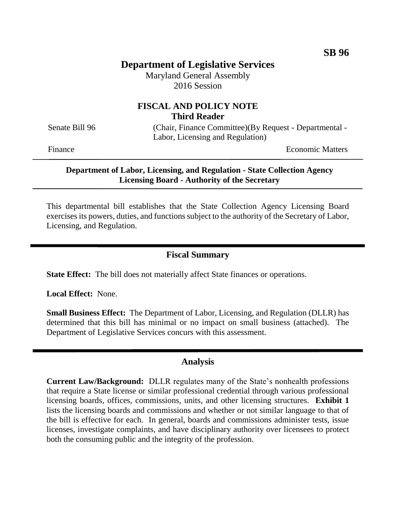# **Department of Legislative Services**

Maryland General Assembly 2016 Session

## **FISCAL AND POLICY NOTE Third Reader**

Senate Bill 96 (Chair, Finance Committee)(By Request - Departmental -Labor, Licensing and Regulation)

Finance **Exercise Economic Matters** 

### **Department of Labor, Licensing, and Regulation - State Collection Agency Licensing Board - Authority of the Secretary**

This departmental bill establishes that the State Collection Agency Licensing Board exercises its powers, duties, and functions subject to the authority of the Secretary of Labor, Licensing, and Regulation.

## **Fiscal Summary**

**State Effect:** The bill does not materially affect State finances or operations.

**Local Effect:** None.

**Small Business Effect:** The Department of Labor, Licensing, and Regulation (DLLR) has determined that this bill has minimal or no impact on small business (attached). The Department of Legislative Services concurs with this assessment.

### **Analysis**

**Current Law/Background:** DLLR regulates many of the State's nonhealth professions that require a State license or similar professional credential through various professional licensing boards, offices, commissions, units, and other licensing structures. **Exhibit 1** lists the licensing boards and commissions and whether or not similar language to that of the bill is effective for each. In general, boards and commissions administer tests, issue licenses, investigate complaints, and have disciplinary authority over licensees to protect both the consuming public and the integrity of the profession.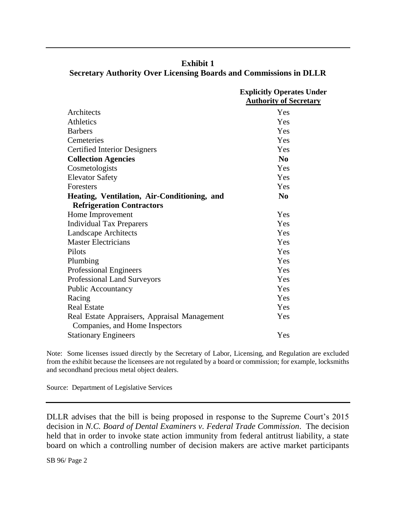|                                              | <b>Explicitly Operates Under</b><br><b>Authority of Secretary</b> |
|----------------------------------------------|-------------------------------------------------------------------|
| Architects                                   | Yes                                                               |
| Athletics                                    | Yes                                                               |
| <b>Barbers</b>                               | Yes                                                               |
| Cemeteries                                   | Yes                                                               |
| <b>Certified Interior Designers</b>          | Yes                                                               |
| <b>Collection Agencies</b>                   | No                                                                |
| Cosmetologists                               | Yes                                                               |
| <b>Elevator Safety</b>                       | Yes                                                               |
| Foresters                                    | Yes                                                               |
| Heating, Ventilation, Air-Conditioning, and  | N <sub>0</sub>                                                    |
| <b>Refrigeration Contractors</b>             |                                                                   |
| Home Improvement                             | Yes                                                               |
| <b>Individual Tax Preparers</b>              | Yes                                                               |
| <b>Landscape Architects</b>                  | Yes                                                               |
| <b>Master Electricians</b>                   | Yes                                                               |
| Pilots                                       | Yes                                                               |
| Plumbing                                     | Yes                                                               |
| <b>Professional Engineers</b>                | Yes                                                               |
| Professional Land Surveyors                  | Yes                                                               |
| Public Accountancy                           | Yes                                                               |
| Racing                                       | Yes                                                               |
| <b>Real Estate</b>                           | Yes                                                               |
| Real Estate Appraisers, Appraisal Management | Yes                                                               |
| Companies, and Home Inspectors               |                                                                   |
| <b>Stationary Engineers</b>                  | Yes                                                               |

**Exhibit 1 Secretary Authority Over Licensing Boards and Commissions in DLLR**

Note: Some licenses issued directly by the Secretary of Labor, Licensing, and Regulation are excluded from the exhibit because the licensees are not regulated by a board or commission; for example, locksmiths and secondhand precious metal object dealers.

Source: Department of Legislative Services

DLLR advises that the bill is being proposed in response to the Supreme Court's 2015 decision in *N.C. Board of Dental Examiners v. Federal Trade Commission*. The decision held that in order to invoke state action immunity from federal antitrust liability, a state board on which a controlling number of decision makers are active market participants

SB 96/ Page 2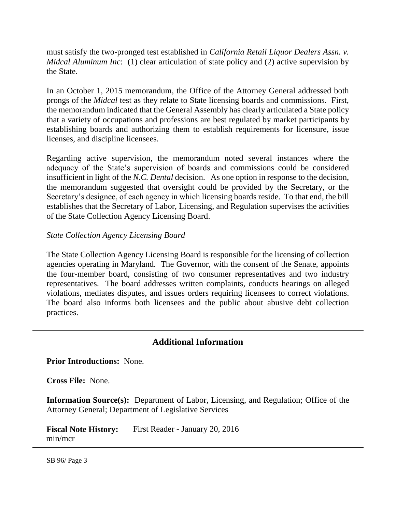must satisfy the two-pronged test established in *California Retail Liquor Dealers Assn. v. Midcal Aluminum Inc*: (1) clear articulation of state policy and (2) active supervision by the State.

In an October 1, 2015 memorandum, the Office of the Attorney General addressed both prongs of the *Midcal* test as they relate to State licensing boards and commissions. First, the memorandum indicated that the General Assembly has clearly articulated a State policy that a variety of occupations and professions are best regulated by market participants by establishing boards and authorizing them to establish requirements for licensure, issue licenses, and discipline licensees.

Regarding active supervision, the memorandum noted several instances where the adequacy of the State's supervision of boards and commissions could be considered insufficient in light of the *N.C. Dental* decision. As one option in response to the decision, the memorandum suggested that oversight could be provided by the Secretary, or the Secretary's designee, of each agency in which licensing boards reside. To that end, the bill establishes that the Secretary of Labor, Licensing, and Regulation supervises the activities of the State Collection Agency Licensing Board.

## *State Collection Agency Licensing Board*

The State Collection Agency Licensing Board is responsible for the licensing of collection agencies operating in Maryland. The Governor, with the consent of the Senate, appoints the four-member board, consisting of two consumer representatives and two industry representatives. The board addresses written complaints, conducts hearings on alleged violations, mediates disputes, and issues orders requiring licensees to correct violations. The board also informs both licensees and the public about abusive debt collection practices.

## **Additional Information**

### **Prior Introductions:** None.

**Cross File:** None.

**Information Source(s):** Department of Labor, Licensing, and Regulation; Office of the Attorney General; Department of Legislative Services

**Fiscal Note History:** First Reader - January 20, 2016 min/mcr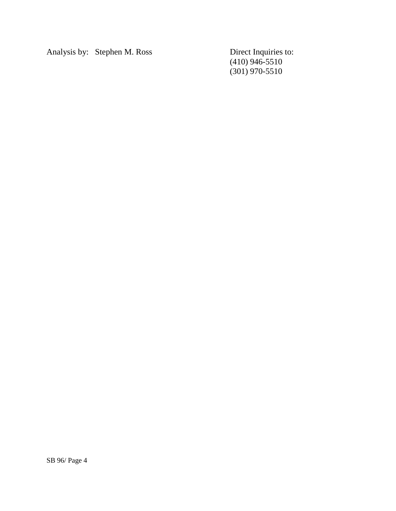Analysis by: Stephen M. Ross Direct Inquiries to:

(410) 946-5510 (301) 970-5510